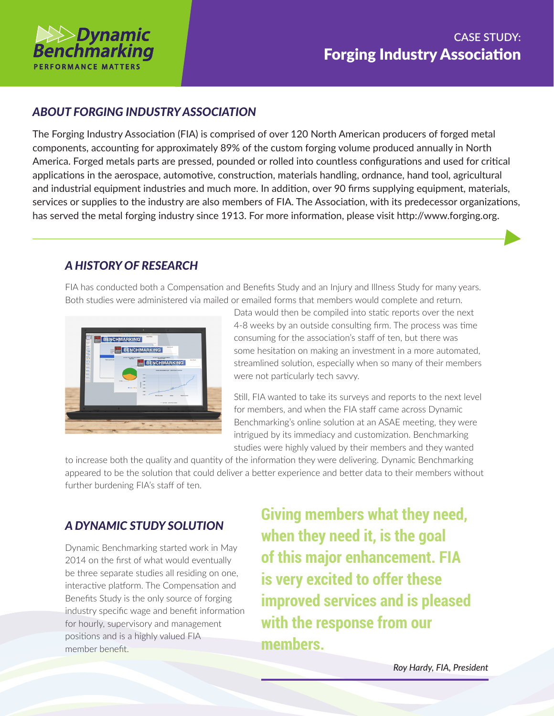

#### *ABOUT FORGING INDUSTRY ASSOCIATION*

The Forging Industry Association (FIA) is comprised of over 120 North American producers of forged metal components, accounting for approximately 89% of the custom forging volume produced annually in North America. Forged metals parts are pressed, pounded or rolled into countless configurations and used for critical applications in the aerospace, automotive, construction, materials handling, ordnance, hand tool, agricultural and industrial equipment industries and much more. In addition, over 90 firms supplying equipment, materials, services or supplies to the industry are also members of FIA. The Association, with its predecessor organizations, has served the metal forging industry since 1913. For more information, please visit http://www.forging.org.

## *A HISTORY OF RESEARCH*

FIA has conducted both a Compensation and Benefits Study and an Injury and Illness Study for many years. Both studies were administered via mailed or emailed forms that members would complete and return.



Data would then be compiled into static reports over the next 4-8 weeks by an outside consulting firm. The process was time consuming for the association's staff of ten, but there was some hesitation on making an investment in a more automated, streamlined solution, especially when so many of their members were not particularly tech savvy.

Still, FIA wanted to take its surveys and reports to the next level for members, and when the FIA staff came across Dynamic Benchmarking's online solution at an ASAE meeting, they were intrigued by its immediacy and customization. Benchmarking studies were highly valued by their members and they wanted

to increase both the quality and quantity of the information they were delivering. Dynamic Benchmarking appeared to be the solution that could deliver a better experience and better data to their members without further burdening FIA's staff of ten.

## *A DYNAMIC STUDY SOLUTION*

Dynamic Benchmarking started work in May 2014 on the first of what would eventually be three separate studies all residing on one, interactive platform. The Compensation and Benefits Study is the only source of forging industry specific wage and benefit information for hourly, supervisory and management positions and is a highly valued FIA member benefit.

**Giving members what they need, when they need it, is the goal of this major enhancement. FIA is very excited to offer these improved services and is pleased with the response from our members.**

*Roy Hardy, FIA, President*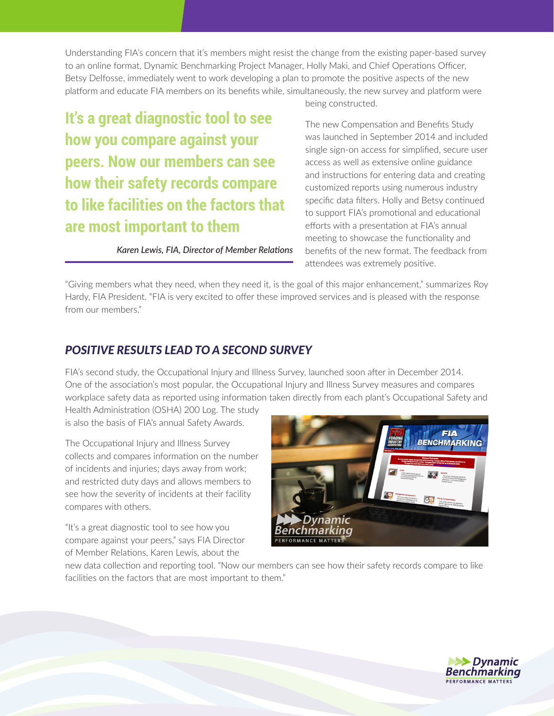Understanding FIA's concern that it's members might resist the change from the existing paper-based survey to an online format, Dynamic Benchmarking Project Manager, Holly Maki, and Chief Operations Officer, Betsy Delfosse, immediately went to work developing a plan to promote the positive aspects of the new platform and educate FIA members on its benefits while, simultaneously, the new survey and platform were

# **It's a great diagnostic tool to see how you compare against your peers. Now our members can see how their safety records compare to like facilities on the factors that are most important to them**

*Karen Lewis, FIA, Director of Member Relations*

being constructed.

The new Compensation and Benefits Study was launched in September 2014 and included single sign-on access for simplified, secure user access as well as extensive online guidance and instructions for entering data and creating customized reports using numerous industry specific data filters. Holly and Betsy continued to support FIA's promotional and educational efforts with a presentation at FIA's annual meeting to showcase the functionality and benefits of the new format. The feedback from attendees was extremely positive.

"Giving members what they need, when they need it, is the goal of this major enhancement," summarizes Roy Hardy, FIA President. "FIA is very excited to offer these improved services and is pleased with the response from our members."

#### *POSITIVE RESULTS LEAD TO A SECOND SURVEY*

FIA's second study, the Occupational Injury and Illness Survey, launched soon after in December 2014. One of the association's most popular, the Occupational Injury and Illness Survey measures and compares workplace safety data as reported using information taken directly from each plant's Occupational Safety and

Health Administration (OSHA) 200 Log. The study is also the basis of FIA's annual Safety Awards.

The Occupational Injury and Illness Survey collects and compares information on the number of incidents and injuries; days away from work; and restricted duty days and allows members to see how the severity of incidents at their facility compares with others.

"It's a great diagnostic tool to see how you compare against your peers," says FIA Director of Member Relations, Karen Lewis, about the



new data collection and reporting tool. "Now our members can see how their safety records compare to like facilities on the factors that are most important to them."